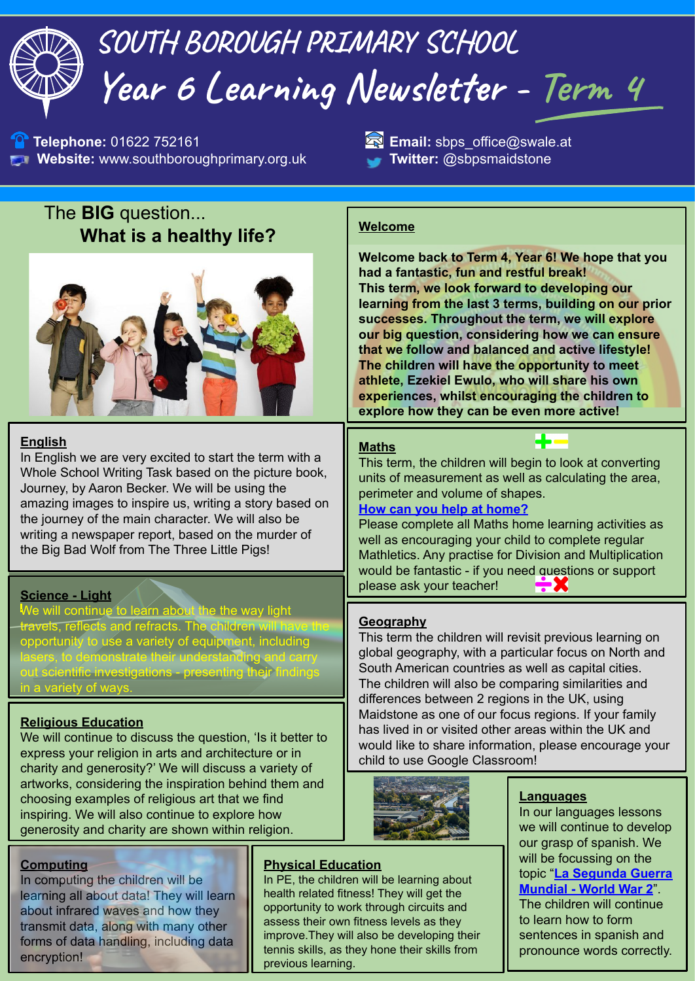# **SOUTH BOROUGH PRIMARY SCHOOL Year 6 Learning Newsletter - Term 4**

**1** Telephone: 01622 752161 **Email:** sbps\_office@swale.at **Website:** www.southboroughprimary.org.uk **Twitter:** @sbpsmaidstone

# The **BIG** question... **What is a healthy life?**



# **English**

In English we are very excited to start the term with a Whole School Writing Task based on the picture book, Journey, by Aaron Becker. We will be using the amazing images to inspire us, writing a story based on the journey of the main character. We will also be writing a newspaper report, based on the murder of the Big Bad Wolf from The Three Little Pigs!

# **Science - Light**

We will continue to learn about the the way light travels, reflects and refracts. The children will have the opportunity to use a variety of equipment, including lasers, to demonstrate their understanding and carry out scientific investigations - presenting their findings in a variety of ways.

# **Religious Education**

We will continue to discuss the question, 'Is it better to express your religion in arts and architecture or in charity and generosity?' We will discuss a variety of artworks, considering the inspiration behind them and choosing examples of religious art that we find inspiring. We will also continue to explore how generosity and charity are shown within religion.

# **Computing**

In computing the children will be learning all about data! They will learn about infrared waves and how they transmit data, along with many other forms of data handling, including data encryption!

# **Physical Education**

In PE, the children will be learning about health related fitness! They will get the opportunity to work through circuits and assess their own fitness levels as they improve.They will also be developing their tennis skills, as they hone their skills from previous learning.

#### **Welcome**

**Welcome back to Term 4, Year 6! We hope that you had a fantastic, fun and restful break! This term, we look forward to developing our learning from the last 3 terms, building on our prior successes. Throughout the term, we will explore our big question, considering how we can ensure that we follow and balanced and active lifestyle! The children will have the opportunity to meet athlete, Ezekiel Ewulo, who will share his own experiences, whilst encouraging the children to explore how they can be even more active!**

# **Maths**

This term, the children will begin to look at converting units of measurement as well as calculating the area, perimeter and volume of shapes.

## **How can you help at home?**

Please complete all Maths home learning activities as well as encouraging your child to complete regular Mathletics. Any practise for Division and Multiplication would be fantastic - if you need questions or support please ask your teacher! ÷Х

#### **Geography**

This term the children will revisit previous learning on global geography, with a particular focus on North and South American countries as well as capital cities. The children will also be comparing similarities and differences between 2 regions in the UK, using Maidstone as one of our focus regions. If your family has lived in or visited other areas within the UK and would like to share information, please encourage your child to use Google Classroom!



#### **Languages**

In our languages lessons we will continue to develop our grasp of spanish. We will be focussing on the topic "**La Segunda Guerra Mundial - World War 2**".

The children will continue to learn how to form sentences in spanish and pronounce words correctly.